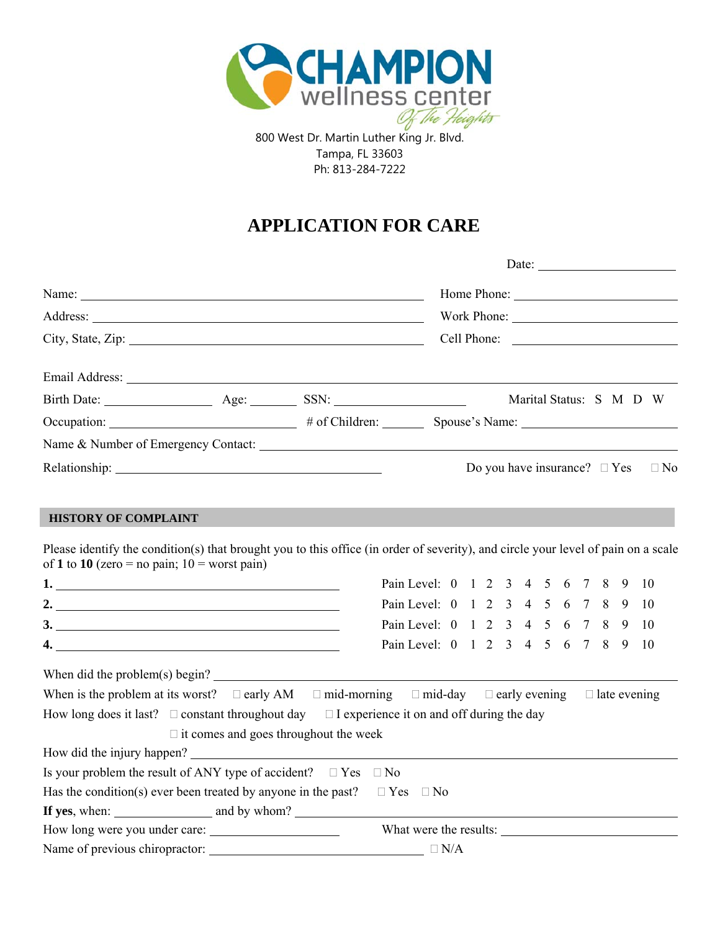

800 West Dr. Martin Luther King Jr. Blvd. Tampa, FL 33603 Ph: 813-284-7222

# **APPLICATION FOR CARE**

|                                                                                                                                                                                                                                                      |  |                                    |  |  |  |                                   |  | Date: $\frac{1}{\sqrt{1-\frac{1}{2}}\sqrt{1-\frac{1}{2}}\sqrt{1-\frac{1}{2}}\sqrt{1-\frac{1}{2}}\sqrt{1-\frac{1}{2}}}}$ |           |
|------------------------------------------------------------------------------------------------------------------------------------------------------------------------------------------------------------------------------------------------------|--|------------------------------------|--|--|--|-----------------------------------|--|-------------------------------------------------------------------------------------------------------------------------|-----------|
|                                                                                                                                                                                                                                                      |  |                                    |  |  |  |                                   |  |                                                                                                                         |           |
|                                                                                                                                                                                                                                                      |  |                                    |  |  |  |                                   |  | Work Phone: 2008                                                                                                        |           |
|                                                                                                                                                                                                                                                      |  |                                    |  |  |  |                                   |  | Cell Phone:                                                                                                             |           |
|                                                                                                                                                                                                                                                      |  |                                    |  |  |  |                                   |  |                                                                                                                         |           |
|                                                                                                                                                                                                                                                      |  |                                    |  |  |  |                                   |  |                                                                                                                         |           |
|                                                                                                                                                                                                                                                      |  |                                    |  |  |  |                                   |  |                                                                                                                         |           |
|                                                                                                                                                                                                                                                      |  |                                    |  |  |  |                                   |  |                                                                                                                         |           |
|                                                                                                                                                                                                                                                      |  |                                    |  |  |  | Do you have insurance? $\Box$ Yes |  |                                                                                                                         | $\Box$ No |
| <b>HISTORY OF COMPLAINT</b><br>Please identify the condition(s) that brought you to this office (in order of severity), and circle your level of pain on a scale<br>of 1 to 10 (zero = no pain; $10 =$ worst pain)                                   |  |                                    |  |  |  |                                   |  |                                                                                                                         |           |
|                                                                                                                                                                                                                                                      |  | Pain Level: 0 1 2 3 4 5 6 7 8 9 10 |  |  |  |                                   |  |                                                                                                                         |           |
| 2. $\overline{\phantom{a}}$                                                                                                                                                                                                                          |  | Pain Level: 0 1 2 3 4 5 6 7 8 9 10 |  |  |  |                                   |  |                                                                                                                         |           |
|                                                                                                                                                                                                                                                      |  | Pain Level: 0 1 2 3 4 5 6 7 8 9 10 |  |  |  |                                   |  |                                                                                                                         |           |
|                                                                                                                                                                                                                                                      |  | Pain Level: 0 1 2 3 4 5 6 7 8 9 10 |  |  |  |                                   |  |                                                                                                                         |           |
| When did the problem(s) begin?<br>When is the problem at its worst? $\Box$ early AM $\Box$ mid-morning $\Box$ mid-day $\Box$ early evening<br>How long does it last? $\Box$ constant throughout day $\Box$ I experience it on and off during the day |  |                                    |  |  |  |                                   |  | $\Box$ late evening                                                                                                     |           |

|                               | $\Box$ it comes and goes throughout the week                                             |
|-------------------------------|------------------------------------------------------------------------------------------|
|                               | How did the injury happen?                                                               |
|                               | Is your problem the result of ANY type of accident? $\Box$ Yes $\Box$ No                 |
|                               | Has the condition(s) ever been treated by anyone in the past? $\square$ Yes $\square$ No |
|                               | If yes, when: $\qquad \qquad$ and by whom?                                               |
| How long were you under care: | What were the results:                                                                   |
|                               |                                                                                          |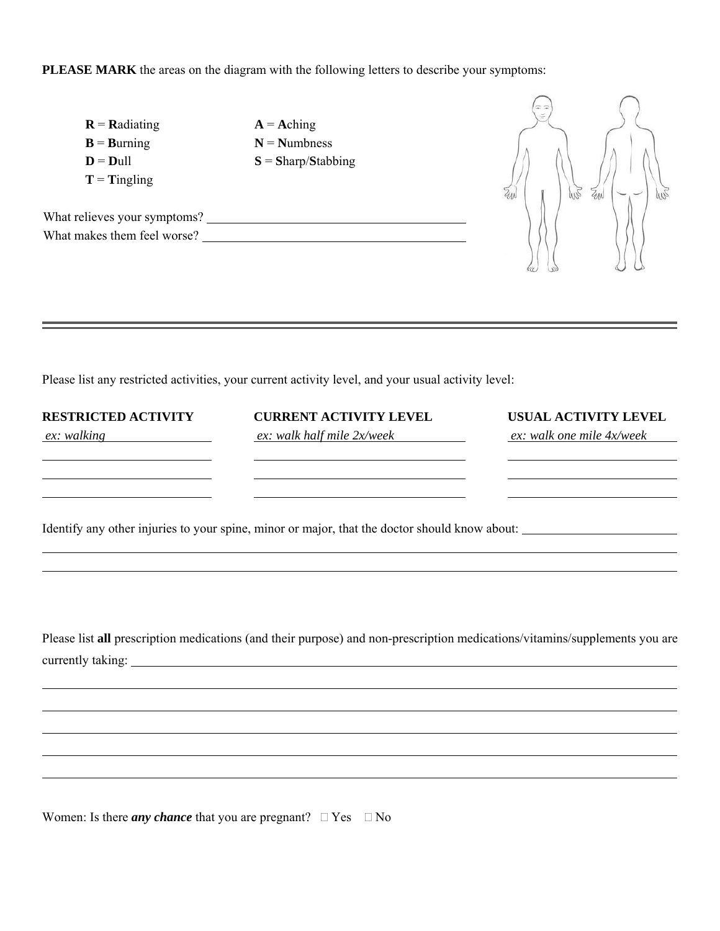**PLEASE MARK** the areas on the diagram with the following letters to describe your symptoms:

| $R =$ Radiating               |
|-------------------------------|
| $\mathbf{B} =$ <b>Burning</b> |
| $D = D$ ull                   |
| $T =$ Tingling                |

 $\overline{a}$ 

 $\overline{a}$ 

 $A =$ **A**ching  $N =$ **Numbness**  $S = \text{Sharp}/\text{Stabbing}$ 

What relieves your symptoms? What makes them feel worse?<br>
<u>Letting</u>

Please list any restricted activities, your current activity level, and your usual activity level:

| <b>RESTRICTED ACTIVITY</b><br>ex: walking | <b>CURRENT ACTIVITY LEVEL</b><br>ex: walk half mile 2x/week                                   | USUAL ACTIVITY LEVEL<br>ex: walk one mile 4x/week |  |  |
|-------------------------------------------|-----------------------------------------------------------------------------------------------|---------------------------------------------------|--|--|
|                                           |                                                                                               |                                                   |  |  |
|                                           | Identify any other injuries to your spine, minor or major, that the doctor should know about: |                                                   |  |  |
|                                           |                                                                                               |                                                   |  |  |

JN<sub>2</sub>  $\mathbb{Z}_{\mu}$ 

Please list **all** prescription medications (and their purpose) and non-prescription medications/vitamins/supplements you are currently taking:

Women: Is there *any chance* that you are pregnant?  $\Box$  Yes  $\Box$  No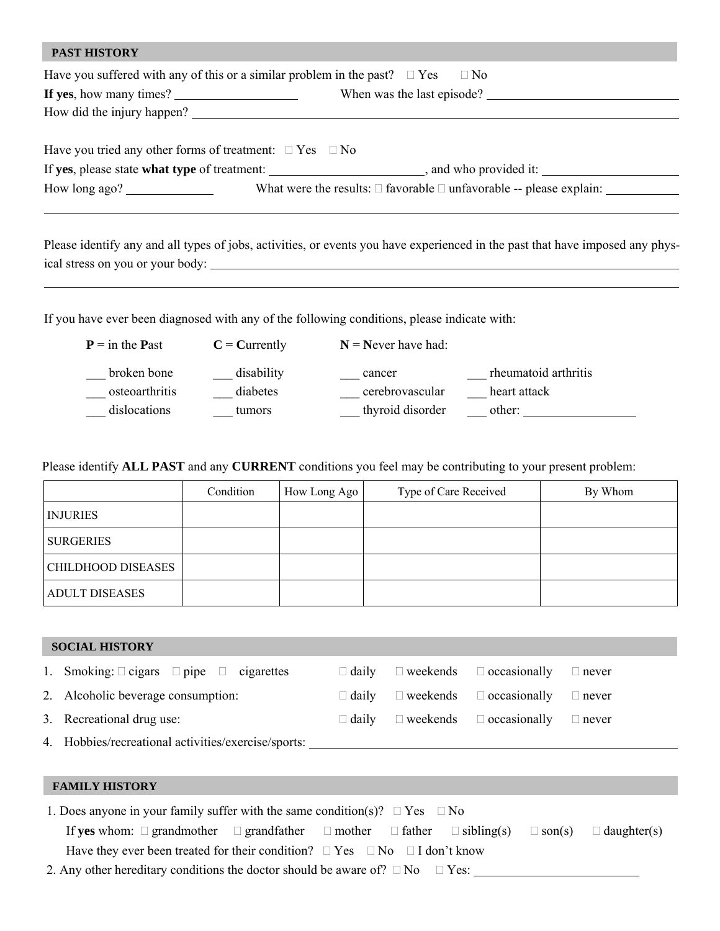| <b>PAST HISTORY</b>                                                     |                                                                                                 |
|-------------------------------------------------------------------------|-------------------------------------------------------------------------------------------------|
|                                                                         | Have you suffered with any of this or a similar problem in the past? $\square$ Yes $\square$ No |
| If yes, how many times? $\frac{1}{2}$                                   | When was the last episode?                                                                      |
|                                                                         | How did the injury happen?                                                                      |
|                                                                         |                                                                                                 |
| Have you tried any other forms of treatment: $\square$ Yes $\square$ No |                                                                                                 |
|                                                                         |                                                                                                 |
| How long ago? $\qquad \qquad$                                           | What were the results: $\Box$ favorable $\Box$ unfavorable -- please explain:                   |
|                                                                         |                                                                                                 |

Please identify any and all types of jobs, activities, or events you have experienced in the past that have imposed any physical stress on you or your body: <u> 1989 - Johann Stoff, Amerikaansk politiker (</u>

If you have ever been diagnosed with any of the following conditions, please indicate with:

| $P = \text{in the Past}$ | $C =$ Currently | $N =$ Never have had: |                      |
|--------------------------|-----------------|-----------------------|----------------------|
| broken bone              | disability      | cancer                | rheumatoid arthritis |
| osteoarthritis           | diabetes        | cerebrovascular       | heart attack         |
| dislocations             | tumors          | thyroid disorder      | other:               |

Please identify **ALL PAST** and any **CURRENT** conditions you feel may be contributing to your present problem:

|                           | Condition | How Long Ago | Type of Care Received | By Whom |
|---------------------------|-----------|--------------|-----------------------|---------|
| <b>INJURIES</b>           |           |              |                       |         |
| <b>SURGERIES</b>          |           |              |                       |         |
| <b>CHILDHOOD DISEASES</b> |           |              |                       |         |
| <b>ADULT DISEASES</b>     |           |              |                       |         |

| <b>SOCIAL HISTORY</b>                                   |              |                                     |              |
|---------------------------------------------------------|--------------|-------------------------------------|--------------|
| 1. Smoking: $\Box$ cigars $\Box$ pipe $\Box$ cigarettes | $\Box$ daily | $\Box$ weekends $\Box$ occasionally | $\Box$ never |
| 2. Alcoholic beverage consumption:                      | $\Box$ daily | $\Box$ weekends $\Box$ occasionally | $\Box$ never |
| 3. Recreational drug use:                               | $\Box$ daily | $\Box$ weekends $\Box$ occasionally | $\Box$ never |
| 4. Hobbies/recreational activities/exercise/sports:     |              |                                     |              |
|                                                         |              |                                     |              |

#### **FAMILY HISTORY**

| 1. Does anyone in your family suffer with the same condition(s)? $\Box$ Yes $\Box$ No                                             |  |  |  |  |  |  |  |  |
|-----------------------------------------------------------------------------------------------------------------------------------|--|--|--|--|--|--|--|--|
| If yes whom: $\Box$ grandmother $\Box$ grandfather $\Box$ mother $\Box$ father $\Box$ sibling(s) $\Box$ son(s) $\Box$ daughter(s) |  |  |  |  |  |  |  |  |
| Have they ever been treated for their condition? $\Box$ Yes $\Box$ No $\Box$ I don't know                                         |  |  |  |  |  |  |  |  |
| 2. Any other hereditary conditions the doctor should be aware of? $\square$ No $\square$ Yes:                                     |  |  |  |  |  |  |  |  |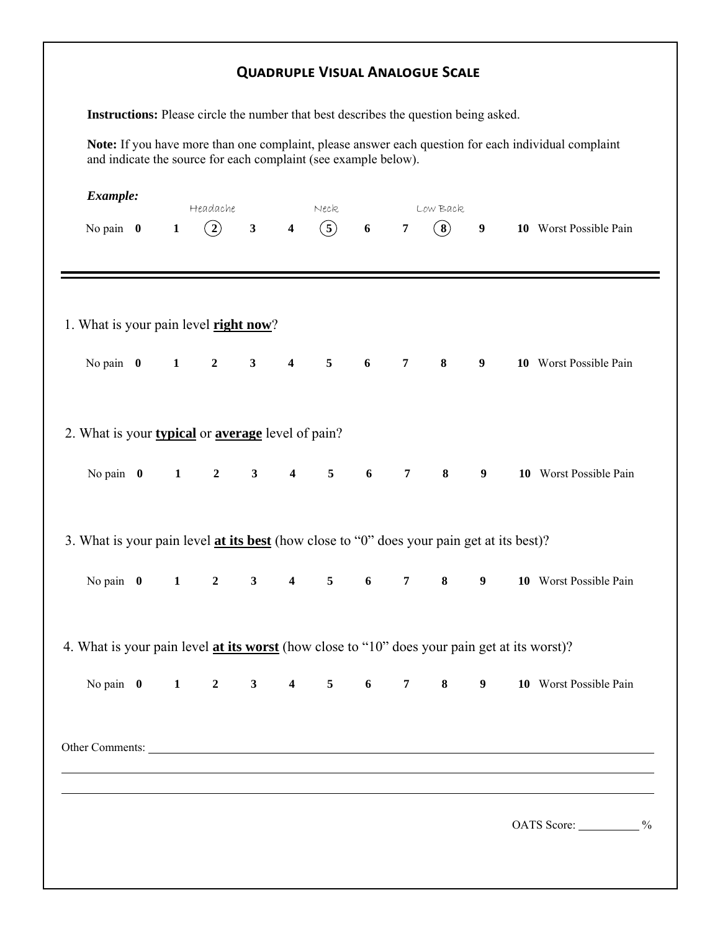|                                                                                              |              |                  |                |                         | Instructions: Please circle the number that best describes the question being asked. |   |                 |                   |                  |                                                                                                      |
|----------------------------------------------------------------------------------------------|--------------|------------------|----------------|-------------------------|--------------------------------------------------------------------------------------|---|-----------------|-------------------|------------------|------------------------------------------------------------------------------------------------------|
|                                                                                              |              |                  |                |                         | and indicate the source for each complaint (see example below).                      |   |                 |                   |                  | Note: If you have more than one complaint, please answer each question for each individual complaint |
| Example:                                                                                     |              | Headache         |                |                         | Neck                                                                                 |   |                 | Low Back          |                  |                                                                                                      |
| No pain $\theta$                                                                             | $\mathbf{1}$ | $\binom{2}{}$    | $\mathbf{3}$   | $\overline{\mathbf{4}}$ | (5)                                                                                  | 6 | $\overline{7}$  | $\left( 8\right)$ | $\boldsymbol{9}$ | 10 Worst Possible Pain                                                                               |
|                                                                                              |              |                  |                |                         |                                                                                      |   |                 |                   |                  |                                                                                                      |
| 1. What is your pain level <b>right now</b> ?                                                |              |                  |                |                         |                                                                                      |   |                 |                   |                  |                                                                                                      |
| No pain $\theta$                                                                             | $\mathbf{1}$ | $\overline{2}$   | $\mathbf{3}$   | $\overline{\mathbf{4}}$ | $5\overline{)}$                                                                      | 6 | $\overline{7}$  | 8                 | 9                | 10 Worst Possible Pain                                                                               |
| 2. What is your <b>typical</b> or <b>average</b> level of pain?                              |              |                  |                |                         |                                                                                      |   |                 |                   |                  |                                                                                                      |
| No pain $\theta$                                                                             | $\mathbf{1}$ | $\overline{2}$   | $3^{\circ}$    | $\boldsymbol{4}$        | 5 <sub>5</sub>                                                                       | 6 | $7\overline{ }$ | 8                 | 9                | 10 Worst Possible Pain                                                                               |
| 3. What is your pain level at its best (how close to "0" does your pain get at its best)?    |              |                  |                |                         |                                                                                      |   |                 |                   |                  |                                                                                                      |
| No pain $\theta$                                                                             | $\mathbf{1}$ | $\boldsymbol{2}$ | 3 <sup>1</sup> | $\overline{\mathbf{4}}$ | $5\phantom{.0}$                                                                      | 6 | $\overline{7}$  | $\bf 8$           | 9 <sub>o</sub>   | 10 Worst Possible Pain                                                                               |
| 4. What is your pain level at its worst (how close to "10" does your pain get at its worst)? |              |                  |                |                         |                                                                                      |   |                 |                   |                  |                                                                                                      |
| No pain $\theta$ 1                                                                           |              |                  |                |                         | $2 \qquad 3 \qquad 4 \qquad 5 \qquad 6$                                              |   | $7\overline{ }$ | $8^{\circ}$       | 9                | 10 Worst Possible Pain                                                                               |
|                                                                                              |              |                  |                |                         |                                                                                      |   |                 |                   |                  |                                                                                                      |
|                                                                                              |              |                  |                |                         |                                                                                      |   |                 |                   |                  | OATS Score: ___________%                                                                             |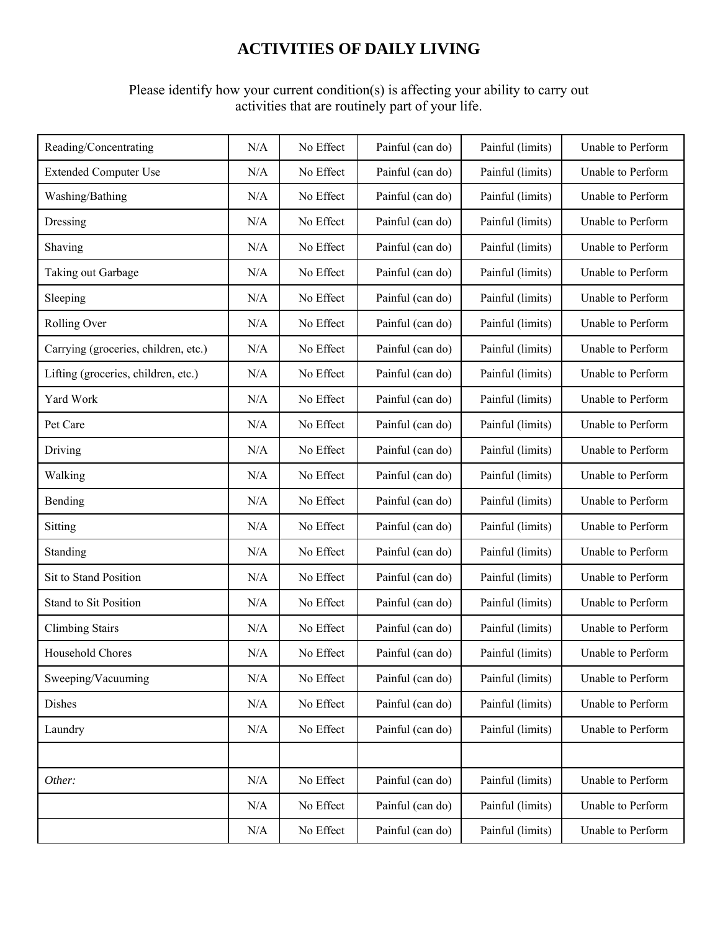## **ACTIVITIES OF DAILY LIVING**

### Please identify how your current condition(s) is affecting your ability to carry out activities that are routinely part of your life.

| Reading/Concentrating                | N/A | No Effect | Painful (can do) | Painful (limits) | Unable to Perform |
|--------------------------------------|-----|-----------|------------------|------------------|-------------------|
| <b>Extended Computer Use</b>         | N/A | No Effect | Painful (can do) | Painful (limits) | Unable to Perform |
| Washing/Bathing                      | N/A | No Effect | Painful (can do) | Painful (limits) | Unable to Perform |
| Dressing                             | N/A | No Effect | Painful (can do) | Painful (limits) | Unable to Perform |
| Shaving                              | N/A | No Effect | Painful (can do) | Painful (limits) | Unable to Perform |
| Taking out Garbage                   | N/A | No Effect | Painful (can do) | Painful (limits) | Unable to Perform |
| Sleeping                             | N/A | No Effect | Painful (can do) | Painful (limits) | Unable to Perform |
| Rolling Over                         | N/A | No Effect | Painful (can do) | Painful (limits) | Unable to Perform |
| Carrying (groceries, children, etc.) | N/A | No Effect | Painful (can do) | Painful (limits) | Unable to Perform |
| Lifting (groceries, children, etc.)  | N/A | No Effect | Painful (can do) | Painful (limits) | Unable to Perform |
| Yard Work                            | N/A | No Effect | Painful (can do) | Painful (limits) | Unable to Perform |
| Pet Care                             | N/A | No Effect | Painful (can do) | Painful (limits) | Unable to Perform |
| Driving                              | N/A | No Effect | Painful (can do) | Painful (limits) | Unable to Perform |
| Walking                              | N/A | No Effect | Painful (can do) | Painful (limits) | Unable to Perform |
| Bending                              | N/A | No Effect | Painful (can do) | Painful (limits) | Unable to Perform |
| Sitting                              | N/A | No Effect | Painful (can do) | Painful (limits) | Unable to Perform |
| Standing                             | N/A | No Effect | Painful (can do) | Painful (limits) | Unable to Perform |
| Sit to Stand Position                | N/A | No Effect | Painful (can do) | Painful (limits) | Unable to Perform |
| Stand to Sit Position                | N/A | No Effect | Painful (can do) | Painful (limits) | Unable to Perform |
| <b>Climbing Stairs</b>               | N/A | No Effect | Painful (can do) | Painful (limits) | Unable to Perform |
| Household Chores                     | N/A | No Effect | Painful (can do) | Painful (limits) | Unable to Perform |
| Sweeping/Vacuuming                   | N/A | No Effect | Painful (can do) | Painful (limits) | Unable to Perform |
| Dishes                               | N/A | No Effect | Painful (can do) | Painful (limits) | Unable to Perform |
| Laundry                              | N/A | No Effect | Painful (can do) | Painful (limits) | Unable to Perform |
|                                      |     |           |                  |                  |                   |
| Other:                               | N/A | No Effect | Painful (can do) | Painful (limits) | Unable to Perform |
|                                      | N/A | No Effect | Painful (can do) | Painful (limits) | Unable to Perform |
|                                      | N/A | No Effect | Painful (can do) | Painful (limits) | Unable to Perform |